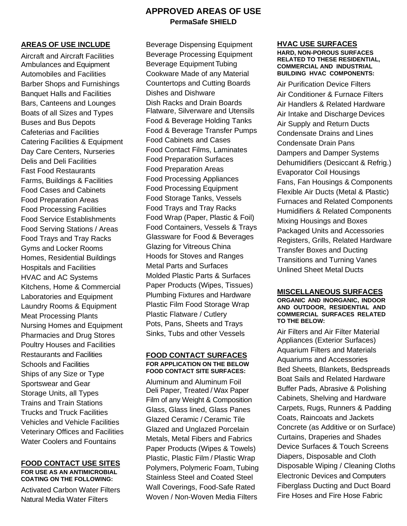# **APPROVED AREAS OF USE PermaSafe SHIELD**

## **AREAS OF USE INCLUDE**

Aircraft and Aircraft Facilities Ambulances and Equipment Automobiles and Facilities Barber Shops and Furnishings Banquet Halls and Facilities Bars, Canteens and Lounges Boats of all Sizes and Types Buses and Bus Depots Cafeterias and Facilities Catering Facilities & Equipment Day Care Centers, Nurseries Delis and Deli Facilities Fast Food Restaurants Farms, Buildings & Facilities Food Cases and Cabinets Food Preparation Areas Food Processing Facilities Food Service Establishments Food Serving Stations / Areas Food Trays and Tray Racks Gyms and Locker Rooms Homes, Residential Buildings Hospitals and Facilities HVAC and AC Systems Kitchens, Home & Commercial Laboratories and Equipment Laundry Rooms & Equipment Meat Processing Plants Nursing Homes and Equipment Pharmacies and Drug Stores Poultry Houses and Facilities Restaurants and Facilities Schools and Facilities Ships of any Size or Type Sportswear and Gear Storage Units, all Types Trains and Train Stations Trucks and Truck Facilities Vehicles and Vehicle Facilities Veterinary Offices and Facilities Water Coolers and Fountains

### **FOOD CONTACT USE SITES FOR USE AS AN ANTIMICROBIAL COATING ON THE FOLLOWING:**

Activated Carbon Water Filters Natural Media Water Filters

Beverage Dispensing Equipment Beverage Processing Equipment Beverage Equipment Tubing Cookware Made of any Material Countertops and Cutting Boards Dishes and Dishware Dish Racks and Drain Boards Flatware, Silverware and Utensils Food & Beverage Holding Tanks Food & Beverage Transfer Pumps Food Cabinets and Cases Food Contact Films, Laminates Food Preparation Surfaces Food Preparation Areas Food Processing Appliances Food Processing Equipment Food Storage Tanks, Vessels Food Trays and Tray Racks Food Wrap (Paper, Plastic & Foil) Food Containers, Vessels & Trays Glassware for Food & Beverages Glazing for Vitreous China Hoods for Stoves and Ranges Metal Parts and Surfaces Molded Plastic Parts & Surfaces Paper Products (Wipes, Tissues) Plumbing Fixtures and Hardware Plastic Film Food Storage Wrap Plastic Flatware / Cutlery Pots, Pans, Sheets and Trays Sinks, Tubs and other Vessels

### **FOOD CONTACT SURFACES FOR APPLICATION ON THE BELOW FOOD CONTACT SITE SURFACES:**

Aluminum and Aluminum Foil Deli Paper, Treated / Wax Paper Film of any Weight & Composition Glass, Glass lined, Glass Panes Glazed Ceramic / Ceramic Tile Glazed and Unglazed Porcelain Metals, Metal Fibers and Fabrics Paper Products (Wipes & Towels) Plastic, Plastic Film / Plastic Wrap Polymers, Polymeric Foam, Tubing Stainless Steel and Coated Steel Wall Coverings, Food-Safe Rated Woven / Non-Woven Media Filters

# **HVAC USE SURFACES**

#### **HARD, NON-POROUS SURFACES RELATED TO THESE RESIDENTIAL, COMMERCIAL AND INDUSTRIAL BUILDING HVAC COMPONENTS:**

Air Purification Device Filters Air Conditioner & Furnace Filters Air Handlers & Related Hardware Air Intake and Discharge Devices Air Supply and Return Ducts Condensate Drains and Lines Condensate Drain Pans Dampers and Damper Systems Dehumidifiers (Desiccant & Refrig.) Evaporator Coil Housings Fans, Fan Housings & Components Flexible Air Ducts (Metal & Plastic) Furnaces and Related Components Humidifiers & Related Components Mixing Housings and Boxes Packaged Units and Accessories Registers, Grills, Related Hardware Transfer Boxes and Ducting Transitions and Turning Vanes Unlined Sheet Metal Ducts

## **MISCELLANEOUS SURFACES**

### **ORGANIC AND INORGANIC, INDOOR AND OUTDOOR, RESIDENTIAL AND COMMERCIAL SURFACES RELATED TO THE BELOW:**

Air Filters and Air Filter Material Appliances (Exterior Surfaces) Aquarium Filters and Materials Aquariums and Accessories Bed Sheets, Blankets, Bedspreads Boat Sails and Related Hardware Buffer Pads, Abrasive & Polishing Cabinets, Shelving and Hardware Carpets, Rugs, Runners & Padding Coats, Raincoats and Jackets Concrete (as Additive or on Surface) Curtains, Draperies and Shades Device Surfaces & Touch Screens Diapers, Disposable and Cloth Disposable Wiping / Cleaning Cloths Electronic Devices and Computers Fiberglass Ducting and Duct Board Fire Hoses and Fire Hose Fabric